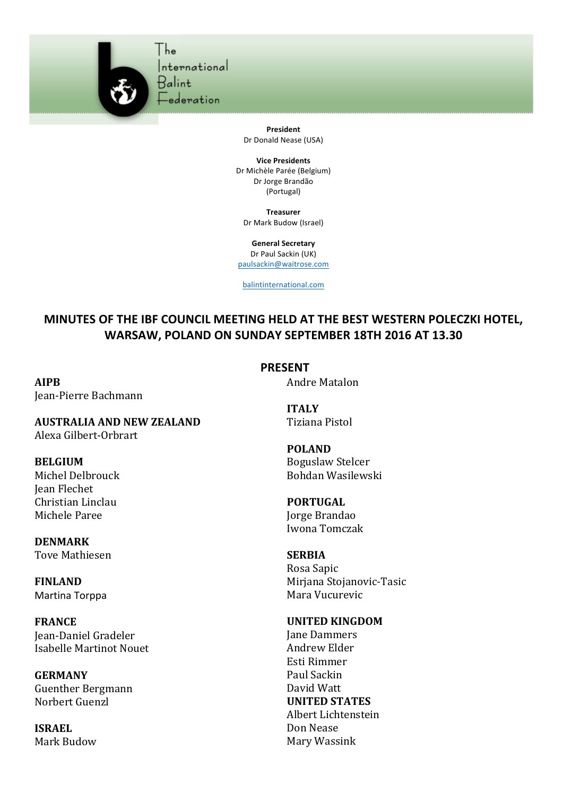

**President** Dr Donald Nease (USA)

**Vice Presidents** Dr Michèle Parée (Belgium) Dr Jorge Brandão (Portugal)

**Treasurer** Dr Mark Budow (Israel)

**General Secretary** Dr Paul Sackin (UK) paulsackin@waitrose.com

balintinternational.com

## **MINUTES OF THE IBF COUNCIL MEETING HELD AT THE BEST WESTERN POLECZKI HOTEL, WARSAW, POLAND ON SUNDAY SEPTEMBER 18TH 2016 AT 13.30**

**PRESENT**

**AIPB** Jean-Pierre Bachmann

**AUSTRALIA AND NEW ZEALAND** Alexa Gilbert-Orbrart

**BELGIUM** Michel Delbrouck Jean Flechet Christian Linclau Michele Paree

**DENMARK** Tove Mathiesen

**FINLAND** Martina Torppa

**FRANCE** Jean-Daniel Gradeler Isabelle Martinot Nouet

**GERMANY** Guenther Bergmann Norbert Guenzl

**ISRAEL** Mark Budow **ITALY** Tiziana Pistol

Andre Matalon

**POLAND** Boguslaw Stelcer Bohdan Wasilewski

**PORTUGAL** Jorge Brandao Iwona Tomczak

## **SERBIA** Rosa Sapic

Mirjana Stojanovic-Tasic Mara Vucurevic

## **UNITED KINGDOM**

Jane Dammers Andrew Elder Esti Rimmer Paul Sackin David Watt **UNITED STATES** Albert Lichtenstein Don Nease Mary Wassink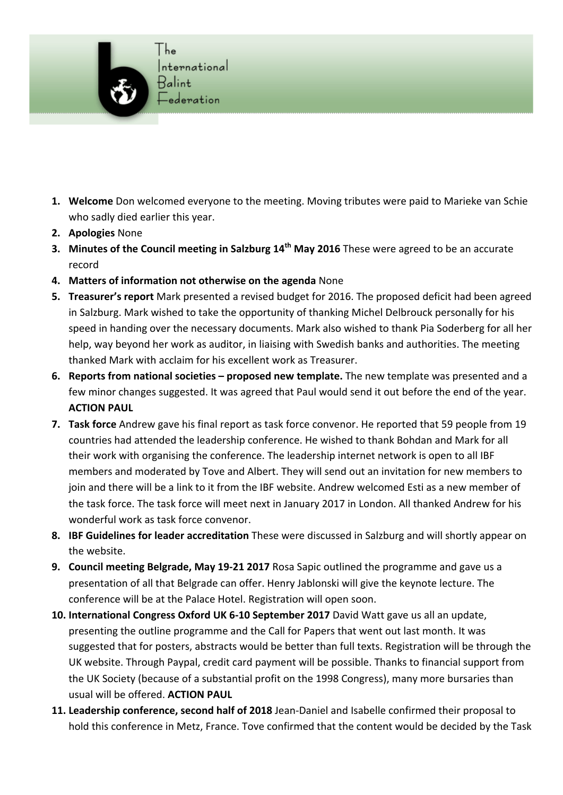

- 1. Welcome Don welcomed everyone to the meeting. Moving tributes were paid to Marieke van Schie who sadly died earlier this year.
- **2. Apologies** None
- **3.** Minutes of the Council meeting in Salzburg 14<sup>th</sup> May 2016 These were agreed to be an accurate record
- **4.** Matters of information not otherwise on the agenda None
- **5. Treasurer's report** Mark presented a revised budget for 2016. The proposed deficit had been agreed in Salzburg. Mark wished to take the opportunity of thanking Michel Delbrouck personally for his speed in handing over the necessary documents. Mark also wished to thank Pia Soderberg for all her help, way beyond her work as auditor, in liaising with Swedish banks and authorities. The meeting thanked Mark with acclaim for his excellent work as Treasurer.
- 6. Reports from national societies proposed new template. The new template was presented and a few minor changes suggested. It was agreed that Paul would send it out before the end of the year. **ACTION PAUL**
- **7. Task force** Andrew gave his final report as task force convenor. He reported that 59 people from 19 countries had attended the leadership conference. He wished to thank Bohdan and Mark for all their work with organising the conference. The leadership internet network is open to all IBF members and moderated by Tove and Albert. They will send out an invitation for new members to join and there will be a link to it from the IBF website. Andrew welcomed Esti as a new member of the task force. The task force will meet next in January 2017 in London. All thanked Andrew for his wonderful work as task force convenor.
- **8. IBF Guidelines for leader accreditation** These were discussed in Salzburg and will shortly appear on the website.
- **9. Council meeting Belgrade, May 19-21 2017** Rosa Sapic outlined the programme and gave us a presentation of all that Belgrade can offer. Henry Jablonski will give the keynote lecture. The conference will be at the Palace Hotel. Registration will open soon.
- **10. International Congress Oxford UK 6-10 September 2017** David Watt gave us all an update, presenting the outline programme and the Call for Papers that went out last month. It was suggested that for posters, abstracts would be better than full texts. Registration will be through the UK website. Through Paypal, credit card payment will be possible. Thanks to financial support from the UK Society (because of a substantial profit on the 1998 Congress), many more bursaries than usual will be offered. **ACTION PAUL**
- 11. Leadership conference, second half of 2018 Jean-Daniel and Isabelle confirmed their proposal to hold this conference in Metz, France. Tove confirmed that the content would be decided by the Task